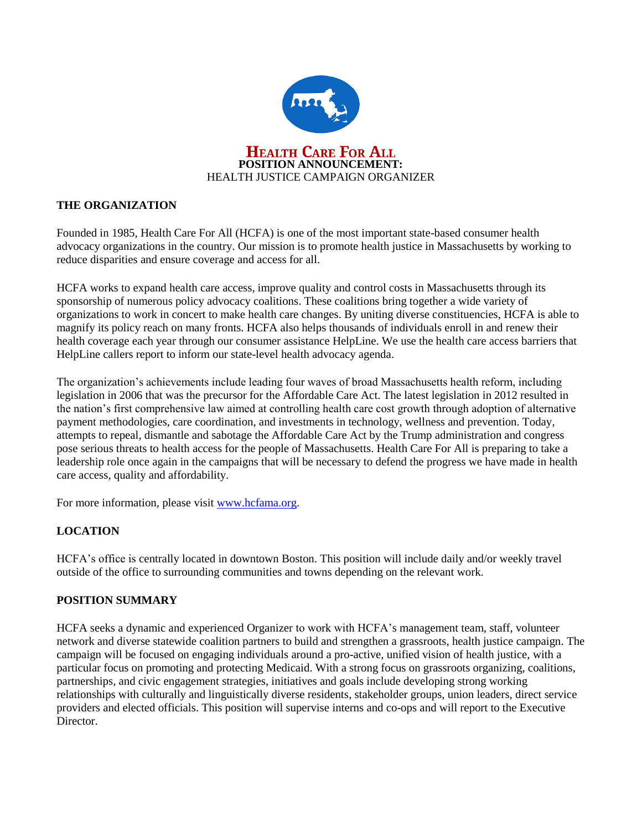

# **THE ORGANIZATION**

Founded in 1985, Health Care For All (HCFA) is one of the most important state-based consumer health advocacy organizations in the country. Our mission is to promote health justice in Massachusetts by working to reduce disparities and ensure coverage and access for all.

HCFA works to expand health care access, improve quality and control costs in Massachusetts through its sponsorship of numerous policy advocacy coalitions. These coalitions bring together a wide variety of organizations to work in concert to make health care changes. By uniting diverse constituencies, HCFA is able to magnify its policy reach on many fronts. HCFA also helps thousands of individuals enroll in and renew their health coverage each year through our consumer assistance HelpLine. We use the health care access barriers that HelpLine callers report to inform our state-level health advocacy agenda.

The organization's achievements include leading four waves of broad Massachusetts health reform, including legislation in 2006 that was the precursor for the Affordable Care Act. The latest legislation in 2012 resulted in the nation's first comprehensive law aimed at controlling health care cost growth through adoption of alternative payment methodologies, care coordination, and investments in technology, wellness and prevention. Today, attempts to repeal, dismantle and sabotage the Affordable Care Act by the Trump administration and congress pose serious threats to health access for the people of Massachusetts. Health Care For All is preparing to take a leadership role once again in the campaigns that will be necessary to defend the progress we have made in health care access, quality and affordability.

For more information, please visit [www.hcfama.org.](http://www.hcfama.org/)

# **LOCATION**

HCFA's office is centrally located in downtown Boston. This position will include daily and/or weekly travel outside of the office to surrounding communities and towns depending on the relevant work.

# **POSITION SUMMARY**

HCFA seeks a dynamic and experienced Organizer to work with HCFA's management team, staff, volunteer network and diverse statewide coalition partners to build and strengthen a grassroots, health justice campaign. The campaign will be focused on engaging individuals around a pro-active, unified vision of health justice, with a particular focus on promoting and protecting Medicaid. With a strong focus on grassroots organizing, coalitions, partnerships, and civic engagement strategies, initiatives and goals include developing strong working relationships with culturally and linguistically diverse residents, stakeholder groups, union leaders, direct service providers and elected officials. This position will supervise interns and co-ops and will report to the Executive Director.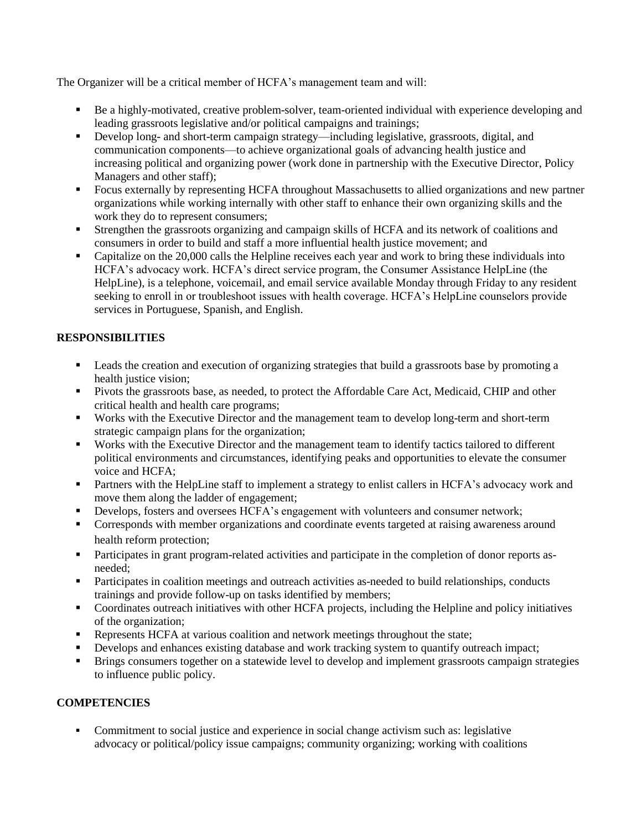The Organizer will be a critical member of HCFA's management team and will:

- Be a highly-motivated, creative problem-solver, team-oriented individual with experience developing and leading grassroots legislative and/or political campaigns and trainings;
- Develop long- and short-term campaign strategy—including legislative, grassroots, digital, and communication components—to achieve organizational goals of advancing health justice and increasing political and organizing power (work done in partnership with the Executive Director, Policy Managers and other staff);
- Focus externally by representing HCFA throughout Massachusetts to allied organizations and new partner organizations while working internally with other staff to enhance their own organizing skills and the work they do to represent consumers;
- Strengthen the grassroots organizing and campaign skills of HCFA and its network of coalitions and consumers in order to build and staff a more influential health justice movement; and
- Capitalize on the 20,000 calls the Helpline receives each year and work to bring these individuals into HCFA's advocacy work. HCFA's direct service program, the Consumer Assistance HelpLine (the HelpLine), is a telephone, voicemail, and email service available Monday through Friday to any resident seeking to enroll in or troubleshoot issues with health coverage. HCFA's HelpLine counselors provide services in Portuguese, Spanish, and English.

# **RESPONSIBILITIES**

- Leads the creation and execution of organizing strategies that build a grassroots base by promoting a health justice vision;
- **Pivots the grassroots base, as needed, to protect the Affordable Care Act, Medicaid, CHIP and other** critical health and health care programs;
- Works with the Executive Director and the management team to develop long-term and short-term strategic campaign plans for the organization;
- Works with the Executive Director and the management team to identify tactics tailored to different political environments and circumstances, identifying peaks and opportunities to elevate the consumer voice and HCFA;
- Partners with the HelpLine staff to implement a strategy to enlist callers in HCFA's advocacy work and move them along the ladder of engagement;
- Develops, fosters and oversees HCFA's engagement with volunteers and consumer network;
- **Corresponds with member organizations and coordinate events targeted at raising awareness around** health reform protection;
- Participates in grant program-related activities and participate in the completion of donor reports asneeded;
- Participates in coalition meetings and outreach activities as-needed to build relationships, conducts trainings and provide follow-up on tasks identified by members;
- Coordinates outreach initiatives with other HCFA projects, including the Helpline and policy initiatives of the organization;
- Represents HCFA at various coalition and network meetings throughout the state;
- Develops and enhances existing database and work tracking system to quantify outreach impact;
- Brings consumers together on a statewide level to develop and implement grassroots campaign strategies to influence public policy.

# **COMPETENCIES**

 Commitment to social justice and experience in social change activism such as: legislative advocacy or political/policy issue campaigns; community organizing; working with coalitions